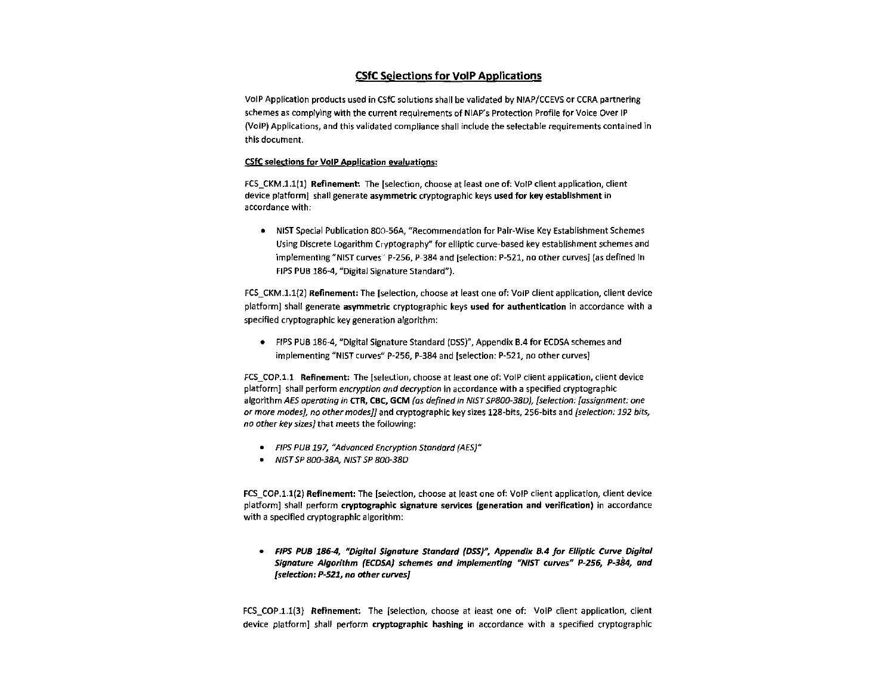## CSfC Selections for VoIP Applications

VoIP Application products used in CSfC solutions shall be validated by NIAP/CCEVS or CCRA partnering schemes as complying with the current requirements of NIAP's Protection Profile for Voice Over IP (VoIP) Applications, and this validated compliance shall include the selectable requirements contained in this document.

## CSfC selections for VoIP Application evaluations:

FCS\_CKM .1.1(1) Refinement: The [selection, choose at least one of: VoIP client application, client device platform] shall generate asymmetric cryptographic keys used for key establishment in accordance with:

• NIST Special Publication 800-56A, "Recommendation for Pair-Wise Key Establishment Schemes Using Discrete Logarithm Cryptography" for elliptic curve-based key establishment schemes and implementing "NIST curves" P-256, P-384 and [selection: P-521, no other curves] (as defined In FIPS PUB 186-4, "Digital Signature Standard").

FCS\_CKM.1.1{2) Refinement: The [selection, choose at least one of: VoIP client application, client device platform] shall generate asymmetric cryptographic keys used for authentication in accordance with a specified cryptographic key generation algorithm:

• FIPS PUB 186-4, "Digital Signature Standard (DSS)", Appendix B.4 for ECDSA schemes and implementing "NIST curves" P-256, P-384 and (selection: P-521, no other curves]

FCS COP.1.1 Refinement: The [selection, choose at least one of: VoIP client application, client device platform] shall perform encryption and decryption in accordance with a specified cryptographic algorithm AES operating in CTR, CBC, GCM (as defined in NIST SP800-38D), [selection: [assignment: one or more modes], no other modes]] and cryptographic key sizes 128-bits, 256-bits and [selection: 192 bits, no other key sizes] that meets the following:

- FIPS PUB 197, "Advanced Encryption Standard (AES)"
- NIST SP 800-38A, NIST SP 800-380

FCS COP.1.1(2) Refinement: The [selection, choose at least one of: VoIP client application, client device platform] shall perform cryptographic signature services (generation and verification) in accordance with a specified cryptographic algorithm:

• *FIPS PUB 186-4, "Digital Signature Standard (DSS}'', Appendix 8.4 for Elliptic Curve Digital Signature Algorithm (ECDSA) schemes and implementing "NIST curves" P-256, P-384, and [selection: P-521, no other curves]* 

FCS COP.1.1(3) Refinement: The (selection, choose at least one of: VoIP client application, client device platform] shall perform cryptographic hashing in accordance with a specified cryptographic